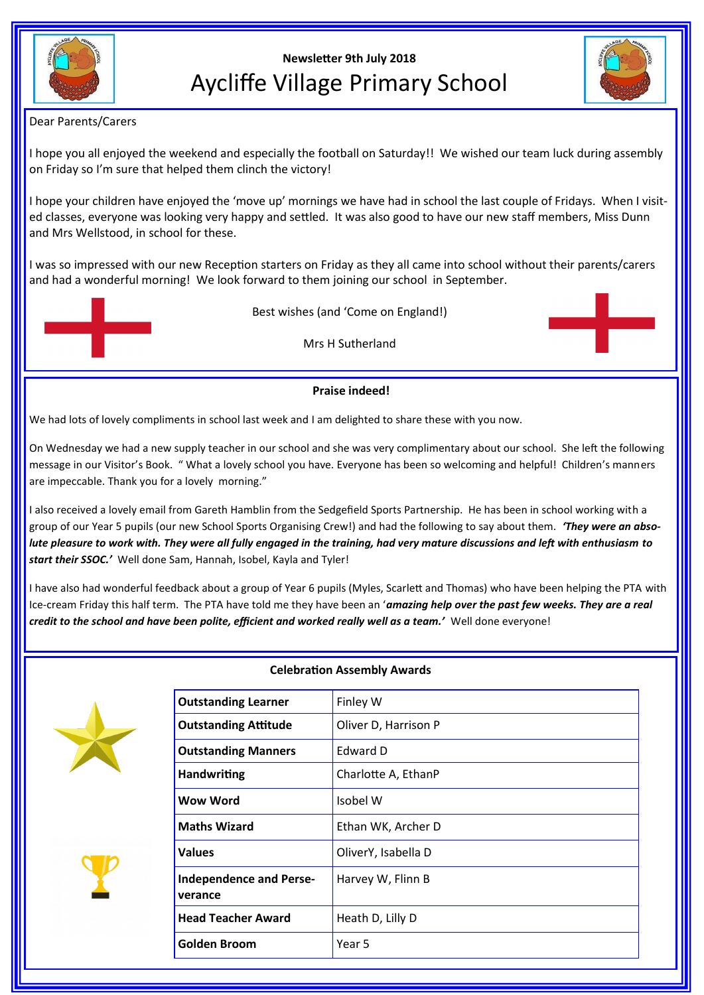

# **Newsletter 9th July 2018** Aycliffe Village Primary School



Dear Parents/Carers

I hope you all enjoyed the weekend and especially the football on Saturday!! We wished our team luck during assembly on Friday so I'm sure that helped them clinch the victory!

I hope your children have enjoyed the 'move up' mornings we have had in school the last couple of Fridays. When I visited classes, everyone was looking very happy and settled. It was also good to have our new staff members, Miss Dunn and Mrs Wellstood, in school for these.

I was so impressed with our new Reception starters on Friday as they all came into school without their parents/carers and had a wonderful morning! We look forward to them joining our school in September.



Mrs H Sutherland

## **Praise indeed!**

We had lots of lovely compliments in school last week and I am delighted to share these with you now.

On Wednesday we had a new supply teacher in our school and she was very complimentary about our school. She left the following message in our Visitor's Book. " What a lovely school you have. Everyone has been so welcoming and helpful! Children's manners are impeccable. Thank you for a lovely morning."

I also received a lovely email from Gareth Hamblin from the Sedgefield Sports Partnership. He has been in school working with a group of our Year 5 pupils (our new School Sports Organising Crew!) and had the following to say about them. *'They were an absolute pleasure to work with. They were all fully engaged in the training, had very mature discussions and left with enthusiasm to start their SSOC.'* Well done Sam, Hannah, Isobel, Kayla and Tyler!

I have also had wonderful feedback about a group of Year 6 pupils (Myles, Scarlett and Thomas) who have been helping the PTA with Ice-cream Friday this half term. The PTA have told me they have been an '*amazing help over the past few weeks. They are a real credit to the school and have been polite, efficient and worked really well as a team.'* Well done everyone!



# **Celebration Assembly Awards**